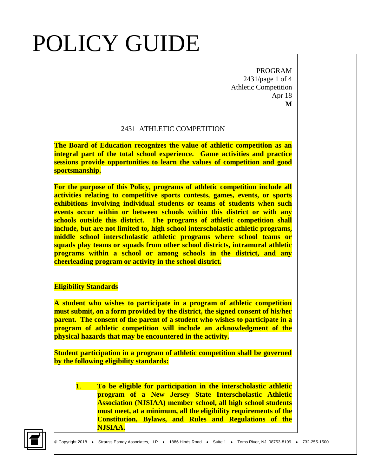PROGRAM 2431/page 1 of 4 Athletic Competition Apr 18 **M**

### 2431 ATHLETIC COMPETITION

**The Board of Education recognizes the value of athletic competition as an integral part of the total school experience. Game activities and practice sessions provide opportunities to learn the values of competition and good sportsmanship.** 

**For the purpose of this Policy, programs of athletic competition include all activities relating to competitive sports contests, games, events, or sports exhibitions involving individual students or teams of students when such events occur within or between schools within this district or with any schools outside this district. The programs of athletic competition shall include, but are not limited to, high school interscholastic athletic programs, middle school interscholastic athletic programs where school teams or squads play teams or squads from other school districts, intramural athletic programs within a school or among schools in the district, and any cheerleading program or activity in the school district.**

### **Eligibility Standards**

**A student who wishes to participate in a program of athletic competition must submit, on a form provided by the district, the signed consent of his/her parent. The consent of the parent of a student who wishes to participate in a program of athletic competition will include an acknowledgment of the physical hazards that may be encountered in the activity.**

**Student participation in a program of athletic competition shall be governed by the following eligibility standards:**

1. **To be eligible for participation in the interscholastic athletic program of a New Jersey State Interscholastic Athletic Association (NJSIAA) member school, all high school students must meet, at a minimum, all the eligibility requirements of the Constitution, Bylaws, and Rules and Regulations of the NJSIAA.**

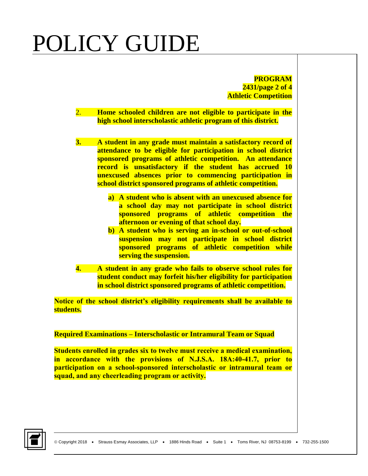**PROGRAM 2431/page 2 of 4 Athletic Competition**

- 2. **Home schooled children are not eligible to participate in the high school interscholastic athletic program of this district.**
- **3. A student in any grade must maintain a satisfactory record of attendance to be eligible for participation in school district sponsored programs of athletic competition. An attendance record is unsatisfactory if the student has accrued 10 unexcused absences prior to commencing participation in school district sponsored programs of athletic competition.**
	- **a) A student who is absent with an unexcused absence for a school day may not participate in school district sponsored programs of athletic competition the afternoon or evening of that school day.**
	- **b) A student who is serving an in-school or out-of-school suspension may not participate in school district sponsored programs of athletic competition while serving the suspension.**
- **4. A student in any grade who fails to observe school rules for student conduct may forfeit his/her eligibility for participation in school district sponsored programs of athletic competition.**

**Notice of the school district's eligibility requirements shall be available to students.**

**Required Examinations – Interscholastic or Intramural Team or Squad**

**Students enrolled in grades six to twelve must receive a medical examination, in accordance with the provisions of N.J.S.A. 18A:40-41.7, prior to participation on a school-sponsored interscholastic or intramural team or squad, and any cheerleading program or activity.**

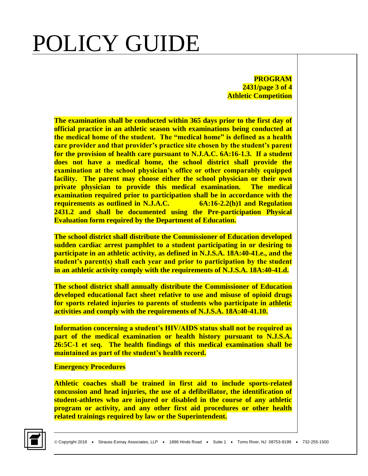**PROGRAM 2431/page 3 of 4 Athletic Competition**

**The examination shall be conducted within 365 days prior to the first day of official practice in an athletic season with examinations being conducted at the medical home of the student. The "medical home" is defined as a health care provider and that provider's practice site chosen by the student's parent for the provision of health care pursuant to N.J.A.C. 6A:16-1.3. If a student does not have a medical home, the school district shall provide the examination at the school physician's office or other comparably equipped facility. The parent may choose either the school physician or their own private physician to provide this medical examination. The medical examination required prior to participation shall be in accordance with the requirements as outlined in N.J.A.C. 6A:16-2.2(h)1 and Regulation 2431.2 and shall be documented using the Pre-participation Physical Evaluation form required by the Department of Education.** 

**The school district shall distribute the Commissioner of Education developed sudden cardiac arrest pamphlet to a student participating in or desiring to participate in an athletic activity, as defined in N.J.S.A. 18A:40-41.e., and the student's parent(s) shall each year and prior to participation by the student in an athletic activity comply with the requirements of N.J.S.A. 18A:40-41.d.** 

**The school district shall annually distribute the Commissioner of Education developed educational fact sheet relative to use and misuse of opioid drugs for sports related injuries to parents of students who participate in athletic activities and comply with the requirements of N.J.S.A. 18A:40-41.10.**

**Information concerning a student's HIV/AIDS status shall not be required as part of the medical examination or health history pursuant to N.J.S.A. 26:5C-1 et seq. The health findings of this medical examination shall be maintained as part of the student's health record.**

#### **Emergency Procedures**

**Athletic coaches shall be trained in first aid to include sports-related concussion and head injuries, the use of a defibrillator, the identification of student-athletes who are injured or disabled in the course of any athletic program or activity, and any other first aid procedures or other health related trainings required by law or the Superintendent.**